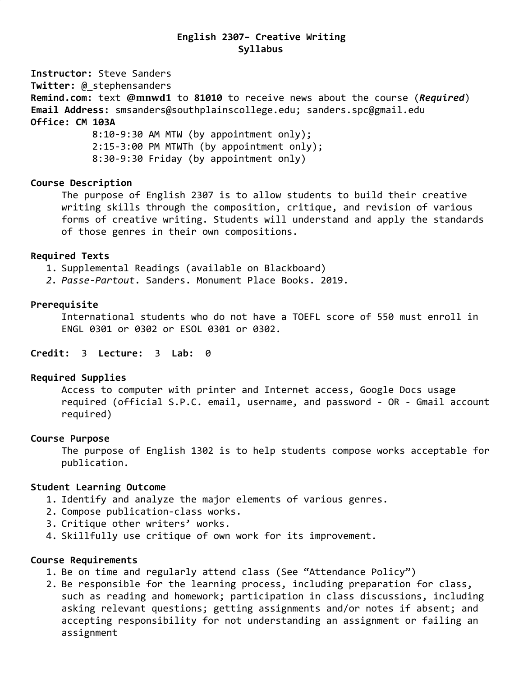## **English 2307– Creative Writing Syllabus**

**Instructor:** Steve Sanders

**Twitter:** @\_stephensanders

**Remind.com:** text **@mnwd1** to **81010** to receive news about the course (*Required*) **Email Address:** [smsanders@southplainscollege.edu](mailto:smsanders@southplainscollege.edu); sanders.spc@gmail.edu

# **Office: CM 103A**

8:10-9:30 AM MTW (by appointment only); 2:15-3:00 PM MTWTh (by appointment only); 8:30-9:30 Friday (by appointment only)

### **Course Description**

The purpose of English 2307 is to allow students to build their creative writing skills through the composition, critique, and revision of various forms of creative writing. Students will understand and apply the standards of those genres in their own compositions.

#### **Required Texts**

1. Supplemental Readings (available on Blackboard)

*2. Passe-Partout*. Sanders. Monument Place Books. 2019.

### **Prerequisite**

International students who do not have a TOEFL score of 550 must enroll in ENGL 0301 or 0302 or ESOL 0301 or 0302.

## **Credit:** 3 **Lecture:** 3 **Lab:** 0

#### **Required Supplies**

Access to computer with printer and Internet access, Google Docs usage required (official S.P.C. email, username, and password - OR - Gmail account required)

#### **Course Purpose**

The purpose of English 1302 is to help students compose works acceptable for publication.

## **Student Learning Outcome**

- 1. Identify and analyze the major elements of various genres.
- 2. Compose publication-class works.
- 3. Critique other writers' works.
- 4. Skillfully use critique of own work for its improvement.

#### **Course Requirements**

- 1. Be on time and regularly attend class (See "Attendance Policy")
- 2. Be responsible for the learning process, including preparation for class, such as reading and homework; participation in class discussions, including asking relevant questions; getting assignments and/or notes if absent; and accepting responsibility for not understanding an assignment or failing an assignment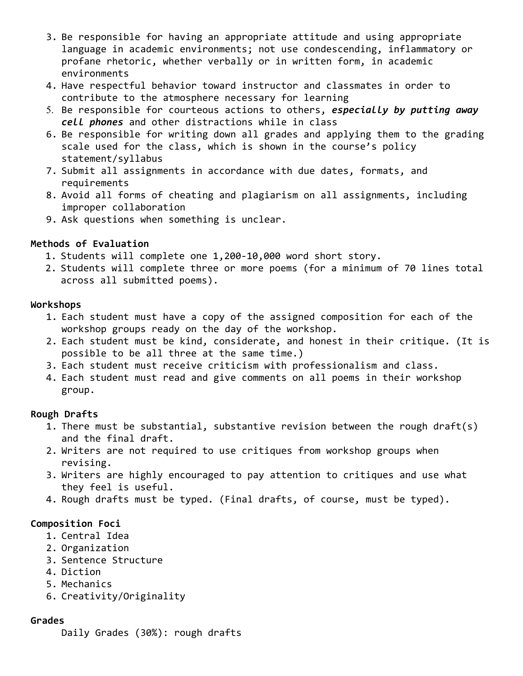- 3. Be responsible for having an appropriate attitude and using appropriate language in academic environments; not use condescending, inflammatory or profane rhetoric, whether verbally or in written form, in academic environments
- 4. Have respectful behavior toward instructor and classmates in order to contribute to the atmosphere necessary for learning
- 5. Be responsible for courteous actions to others, *especially by putting away cell phones* and other distractions while in class
- 6. Be responsible for writing down all grades and applying them to the grading scale used for the class, which is shown in the course's policy statement/syllabus
- 7. Submit all assignments in accordance with due dates, formats, and requirements
- 8. Avoid all forms of cheating and plagiarism on all assignments, including improper collaboration
- 9. Ask questions when something is unclear.

## **Methods of Evaluation**

- 1. Students will complete one 1,200-10,000 word short story.
- 2. Students will complete three or more poems (for a minimum of 70 lines total across all submitted poems).

## **Workshops**

- 1. Each student must have a copy of the assigned composition for each of the workshop groups ready on the day of the workshop.
- 2. Each student must be kind, considerate, and honest in their critique. (It is possible to be all three at the same time.)
- 3. Each student must receive criticism with professionalism and class.
- 4. Each student must read and give comments on all poems in their workshop group.

## **Rough Drafts**

- 1. There must be substantial, substantive revision between the rough draft(s) and the final draft.
- 2. Writers are not required to use critiques from workshop groups when revising.
- 3. Writers are highly encouraged to pay attention to critiques and use what they feel is useful.
- 4. Rough drafts must be typed. (Final drafts, of course, must be typed).

## **Composition Foci**

- 1. Central Idea
- 2. Organization
- 3. Sentence Structure
- 4. Diction
- 5. Mechanics
- 6. Creativity/Originality

## **Grades**

Daily Grades (30%): rough drafts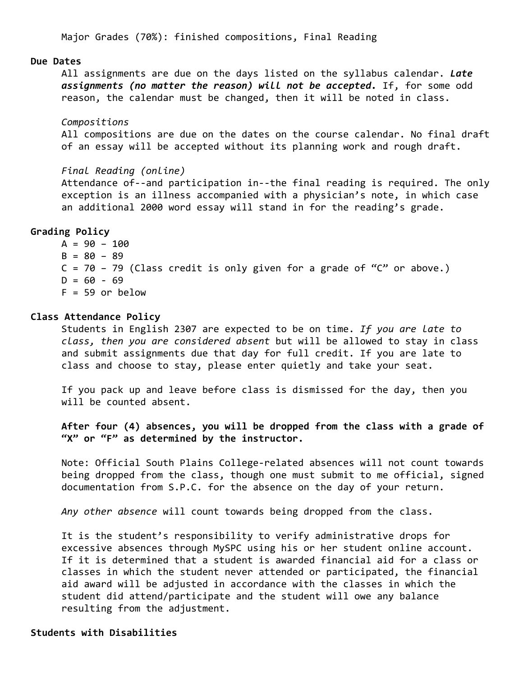Major Grades (70%): finished compositions, Final Reading

#### **Due Dates**

All assignments are due on the days listed on the syllabus calendar. *Late assignments (no matter the reason) will not be accepted.* If, for some odd reason, the calendar must be changed, then it will be noted in class.

*Compositions*

All compositions are due on the dates on the course calendar. No final draft of an essay will be accepted without its planning work and rough draft.

*Final Reading (online)* Attendance of--and participation in--the final reading is required. The only exception is an illness accompanied with a physician's note, in which case an additional 2000 word essay will stand in for the reading's grade.

### **Grading Policy**

 $A = 90 - 100$  $B = 80 - 89$  $C = 70 - 79$  (Class credit is only given for a grade of "C" or above.)  $D = 60 - 69$  $F = 59$  or below

#### **Class Attendance Policy**

Students in English 2307 are expected to be on time. *If you are late to class, then you are considered absent* but will be allowed to stay in class and submit assignments due that day for full credit. If you are late to class and choose to stay, please enter quietly and take your seat.

If you pack up and leave before class is dismissed for the day, then you will be counted absent.

**After four (4) absences, you will be dropped from the class with a grade of "X" or "F" as determined by the instructor.**

Note: Official South Plains College-related absences will not count towards being dropped from the class, though one must submit to me official, signed documentation from S.P.C. for the absence on the day of your return.

*Any other absence* will count towards being dropped from the class.

It is the student's responsibility to verify administrative drops for excessive absences through MySPC using his or her student online account. If it is determined that a student is awarded financial aid for a class or classes in which the student never attended or participated, the financial aid award will be adjusted in accordance with the classes in which the student did attend/participate and the student will owe any balance resulting from the adjustment.

#### **Students with Disabilities**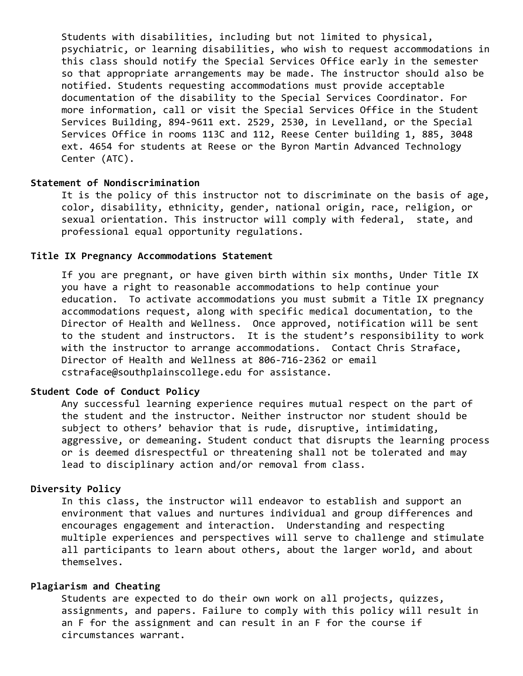Students with disabilities, including but not limited to physical, psychiatric, or learning disabilities, who wish to request accommodations in this class should notify the Special Services Office early in the semester so that appropriate arrangements may be made. The instructor should also be notified. Students requesting accommodations must provide acceptable documentation of the disability to the Special Services Coordinator. For more information, call or visit the Special Services Office in the Student Services Building, 894-9611 ext. 2529, 2530, in Levelland, or the Special Services Office in rooms 113C and 112, Reese Center building 1, 885, 3048 ext. 4654 for students at Reese or the Byron Martin Advanced Technology Center (ATC).

## **Statement of Nondiscrimination**

It is the policy of this instructor not to discriminate on the basis of age, color, disability, ethnicity, gender, national origin, race, religion, or sexual orientation. This instructor will comply with federal, state, and professional equal opportunity regulations.

#### **Title IX Pregnancy Accommodations Statement**

If you are pregnant, or have given birth within six months, Under Title IX you have a right to reasonable accommodations to help continue your education. To activate accommodations you must submit a Title IX pregnancy accommodations request, along with specific medical documentation, to the Director of Health and Wellness. Once approved, notification will be sent to the student and instructors. It is the student's responsibility to work with the instructor to arrange accommodations. Contact Chris Straface, Director of Health and Wellness at 806-716-2362 or email cstraface@southplainscollege.edu for assistance.

#### **Student Code of Conduct Policy**

Any successful learning experience requires mutual respect on the part of the student and the instructor. Neither instructor nor student should be subject to others' behavior that is rude, disruptive, intimidating, aggressive, or demeaning**.** Student conduct that disrupts the learning process or is deemed disrespectful or threatening shall not be tolerated and may lead to disciplinary action and/or removal from class.

#### **Diversity Policy**

In this class, the instructor will endeavor to establish and support an environment that values and nurtures individual and group differences and encourages engagement and interaction. Understanding and respecting multiple experiences and perspectives will serve to challenge and stimulate all participants to learn about others, about the larger world, and about themselves.

#### **Plagiarism and Cheating**

Students are expected to do their own work on all projects, quizzes, assignments, and papers. Failure to comply with this policy will result in an F for the assignment and can result in an F for the course if circumstances warrant.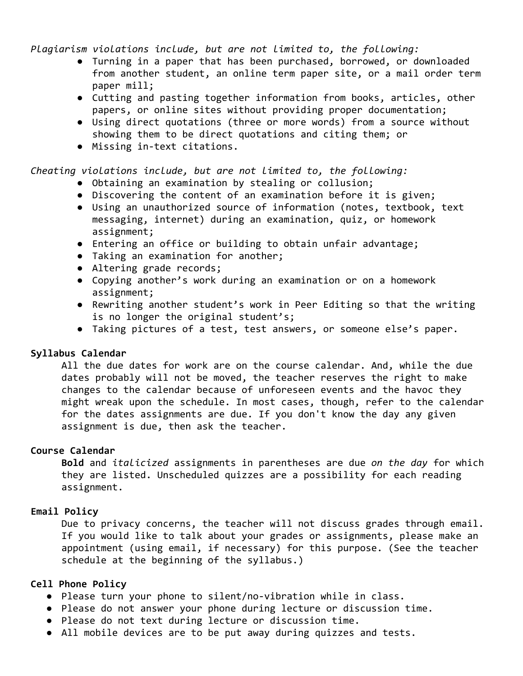*Plagiarism violations include, but are not limited to, the following:*

- Turning in a paper that has been purchased, borrowed, or downloaded from another student, an online term paper site, or a mail order term paper mill;
- Cutting and pasting together information from books, articles, other papers, or online sites without providing proper documentation;
- Using direct quotations (three or more words) from a source without showing them to be direct quotations and citing them; or
- Missing in-text citations.

## *Cheating violations include, but are not limited to, the following:*

- Obtaining an examination by stealing or collusion;
- Discovering the content of an examination before it is given;
- Using an unauthorized source of information (notes, textbook, text messaging, internet) during an examination, quiz, or homework assignment;
- Entering an office or building to obtain unfair advantage;
- Taking an examination for another;
- Altering grade records;
- Copying another's work during an examination or on a homework assignment;
- Rewriting another student's work in Peer Editing so that the writing is no longer the original student's;
- Taking pictures of a test, test answers, or someone else's paper.

## **Syllabus Calendar**

All the due dates for work are on the course calendar. And, while the due dates probably will not be moved, the teacher reserves the right to make changes to the calendar because of unforeseen events and the havoc they might wreak upon the schedule. In most cases, though, refer to the calendar for the dates assignments are due. If you don't know the day any given assignment is due, then ask the teacher.

## **Course Calendar**

**Bold** and *italicized* assignments in parentheses are due *on the day* for which they are listed. Unscheduled quizzes are a possibility for each reading assignment.

## **Email Policy**

Due to privacy concerns, the teacher will not discuss grades through email. If you would like to talk about your grades or assignments, please make an appointment (using email, if necessary) for this purpose. (See the teacher schedule at the beginning of the syllabus.)

#### **Cell Phone Policy**

- Please turn your phone to silent/no-vibration while in class.
- Please do not answer your phone during lecture or discussion time.
- Please do not text during lecture or discussion time.
- All mobile devices are to be put away during quizzes and tests.